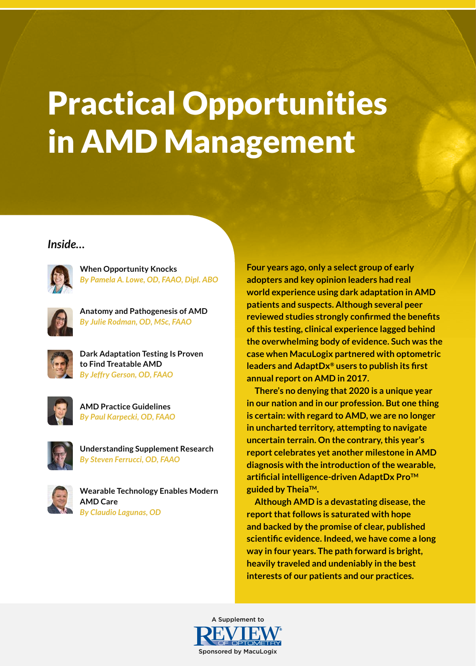# Practical Opportunities in AMD Management

#### *Inside…*



**When Opportunity Knocks** *By Pamela A. Lowe, OD, FAAO, Dipl. ABO* 



**Anatomy and Pathogenesis of AMD**  *By Julie Rodman, OD, MSc, FAAO*



**Dark Adaptation Testing Is Proven to Find Treatable AMD** *By Jeffry Gerson, OD, FAAO*



**AMD Practice Guidelines**  *By Paul Karpecki, OD, FAAO*



**Understanding Supplement Research** *By Steven Ferrucci, OD, FAAO* 



**Wearable Technology Enables Modern AMD Care** *By Claudio Lagunas, OD*

**Four years ago, only a select group of early adopters and key opinion leaders had real world experience using dark adaptation in AMD patients and suspects. Although several peer reviewed studies strongly confirmed the benefits of this testing, clinical experience lagged behind the overwhelming body of evidence. Such was the case when MacuLogix partnered with optometric leaders and AdaptDx® users to publish its first annual report on AMD in 2017.**

**There's no denying that 2020 is a unique year in our nation and in our profession. But one thing is certain: with regard to AMD, we are no longer in uncharted territory, attempting to navigate uncertain terrain. On the contrary, this year's report celebrates yet another milestone in AMD diagnosis with the introduction of the wearable, artificial intelligence-driven AdaptDx ProTM guided by TheiaTM.**

**Although AMD is a devastating disease, the report that follows is saturated with hope and backed by the promise of clear, published scientific evidence. Indeed, we have come a long way in four years. The path forward is bright, heavily traveled and undeniably in the best interests of our patients and our practices.**

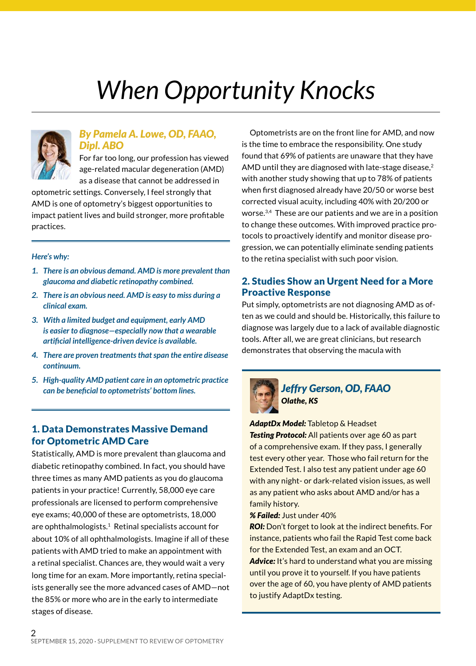## *When Opportunity Knocks*



#### *By Pamela A. Lowe, OD, FAAO, Dipl. ABO*

For far too long, our profession has viewed age-related macular degeneration (AMD) as a disease that cannot be addressed in

optometric settings. Conversely, I feel strongly that AMD is one of optometry's biggest opportunities to impact patient lives and build stronger, more profitable practices.

*Here's why:*

- *1. There is an obvious demand. AMD is more prevalent than glaucoma and diabetic retinopathy combined.*
- *2. There is an obvious need. AMD is easy to miss during a clinical exam.*
- *3. With a limited budget and equipment, early AMD is easier to diagnose—especially now that a wearable artificial intelligence-driven device is available.*
- *4. There are proven treatments that span the entire disease continuum.*
- *5. High-quality AMD patient care in an optometric practice can be beneficial to optometrists' bottom lines. Jeffry Gerson, OD, FAAO*

#### 1. Data Demonstrates Massive Demand for Optometric AMD Care

Statistically, AMD is more prevalent than glaucoma and diabetic retinopathy combined. In fact, you should have three times as many AMD patients as you do glaucoma patients in your practice! Currently, 58,000 eye care professionals are licensed to perform comprehensive eye exams; 40,000 of these are optometrists, 18,000 are ophthalmologists. $1$  Retinal specialists account for about 10% of all ophthalmologists. Imagine if all of these patients with AMD tried to make an appointment with a retinal specialist. Chances are, they would wait a very long time for an exam. More importantly, retina specialists generally see the more advanced cases of AMD—not the 85% or more who are in the early to intermediate stages of disease.

Optometrists are on the front line for AMD, and now is the time to embrace the responsibility. One study found that 69% of patients are unaware that they have AMD until they are diagnosed with late-stage disease,<sup>2</sup> with another study showing that up to 78% of patients when first diagnosed already have 20/50 or worse best corrected visual acuity, including 40% with 20/200 or worse.3,4 These are our patients and we are in a position to change these outcomes. With improved practice protocols to proactively identify and monitor disease progression, we can potentially eliminate sending patients to the retina specialist with such poor vision.

#### 2. Studies Show an Urgent Need for a More Proactive Response

Put simply, optometrists are not diagnosing AMD as often as we could and should be. Historically, this failure to diagnose was largely due to a lack of available diagnostic tools. After all, we are great clinicians, but research demonstrates that observing the macula with



### *Olathe, KS*

*AdaptDx Model:* Tabletop & Headset **Testing Protocol:** All patients over age 60 as part of a comprehensive exam. If they pass, I generally test every other year. Those who fail return for the Extended Test. I also test any patient under age 60 with any night- or dark-related vision issues, as well as any patient who asks about AMD and/or has a family history.

*% Failed:* Just under 40%

**ROI:** Don't forget to look at the indirect benefits. For instance, patients who fail the Rapid Test come back for the Extended Test, an exam and an OCT.

**Advice:** It's hard to understand what you are missing until you prove it to yourself. If you have patients over the age of 60, you have plenty of AMD patients to justify AdaptDx testing.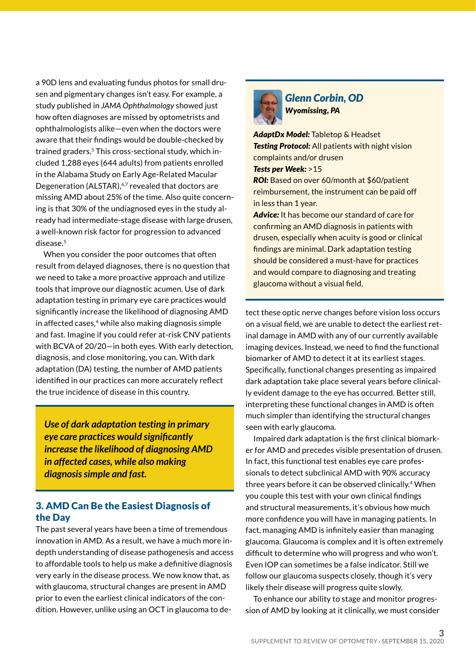a 90D lens and evaluating fundus photos for small drusen and pigmentary changes isn't easy. For example, a study published in *JAMA Ophthalmology* showed just how often diagnoses are missed by optometrists and ophthalmologists alike—even when the doctors were aware that their findings would be double-checked by trained graders.5 This cross-sectional study, which included 1,288 eyes (644 adults) from patients enrolled in the Alabama Study on Early Age-Related Macular Degeneration (ALSTAR),<sup>6,7</sup> revealed that doctors are missing AMD about 25% of the time. Also quite concerning is that 30% of the undiagnosed eyes in the study already had intermediate-stage disease with large drusen, a well-known risk factor for progression to advanced disease.<sup>5</sup>

When you consider the poor outcomes that often result from delayed diagnoses, there is no question that we need to take a more proactive approach and utilize tools that improve our diagnostic acumen. Use of dark adaptation testing in primary eye care practices would significantly increase the likelihood of diagnosing AMD in affected cases,<sup>4</sup> while also making diagnosis simple and fast. Imagine if you could refer at-risk CNV patients with BCVA of 20/20—in both eyes. With early detection, diagnosis, and close monitoring, you can. With dark adaptation (DA) testing, the number of AMD patients identified in our practices can more accurately reflect the true incidence of disease in this country.

*Use of dark adaptation testing in primary eye care practices would significantly increase the likelihood of diagnosing AMD in affected cases, while also making diagnosis simple and fast.*

#### 3. AMD Can Be the Easiest Diagnosis of the Day

The past several years have been a time of tremendous innovation in AMD. As a result, we have a much more indepth understanding of disease pathogenesis and access to affordable tools to help us make a definitive diagnosis very early in the disease process. We now know that, as with glaucoma, structural changes are present in AMD prior to even the earliest clinical indicators of the condition. However, unlike using an OCT in glaucoma to de-



*Glenn Corbin, OD Wyomissing, PA*

*AdaptDx Model:* Tabletop & Headset **Testing Protocol:** All patients with night vision complaints and/or drusen *Tests per Week:* >15

*ROI:* Based on over 60/month at \$60/patient reimbursement, the instrument can be paid off in less than 1 year.

*Advice:* It has become our standard of care for confirming an AMD diagnosis in patients with drusen, especially when acuity is good or clinical findings are minimal. Dark adaptation testing should be considered a must-have for practices and would compare to diagnosing and treating glaucoma without a visual field.

tect these optic nerve changes before vision loss occurs on a visual field, we are unable to detect the earliest retinal damage in AMD with any of our currently available imaging devices. Instead, we need to find the functional biomarker of AMD to detect it at its earliest stages. Specifically, functional changes presenting as impaired dark adaptation take place several years before clinically evident damage to the eye has occurred. Better still, interpreting these functional changes in AMD is often much simpler than identifying the structural changes seen with early glaucoma.

Impaired dark adaptation is the first clinical biomarker for AMD and precedes visible presentation of drusen. In fact, this functional test enables eye care professionals to detect subclinical AMD with 90% accuracy three years before it can be observed clinically.4 When you couple this test with your own clinical findings and structural measurements, it's obvious how much more confidence you will have in managing patients. In fact, managing AMD is infinitely easier than managing glaucoma. Glaucoma is complex and it is often extremely difficult to determine who will progress and who won't. Even IOP can sometimes be a false indicator. Still we follow our glaucoma suspects closely, though it's very likely their disease will progress quite slowly.

To enhance our ability to stage and monitor progression of AMD by looking at it clinically, we must consider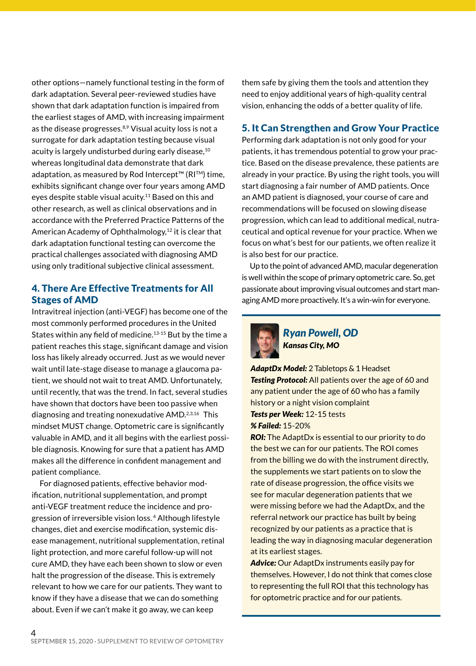other options—namely functional testing in the form of dark adaptation. Several peer-reviewed studies have shown that dark adaptation function is impaired from the earliest stages of AMD, with increasing impairment as the disease progresses.<sup>8,9</sup> Visual acuity loss is not a surrogate for dark adaptation testing because visual acuity is largely undisturbed during early disease,<sup>10</sup> whereas longitudinal data demonstrate that dark adaptation, as measured by Rod Intercept™ (RI™) time, exhibits significant change over four years among AMD eyes despite stable visual acuity.<sup>11</sup> Based on this and other research, as well as clinical observations and in accordance with the Preferred Practice Patterns of the American Academy of Ophthalmology,<sup>12</sup> it is clear that dark adaptation functional testing can overcome the practical challenges associated with diagnosing AMD using only traditional subjective clinical assessment.

#### 4. There Are Effective Treatments for All Stages of AMD

Intravitreal injection (anti-VEGF) has become one of the most commonly performed procedures in the United States within any field of medicine.13-15 But by the time a patient reaches this stage, significant damage and vision loss has likely already occurred. Just as we would never wait until late-stage disease to manage a glaucoma patient, we should not wait to treat AMD. Unfortunately, until recently, that was the trend. In fact, several studies have shown that doctors have been too passive when diagnosing and treating nonexudative AMD.2,3,16 This mindset MUST change. Optometric care is significantly valuable in AMD, and it all begins with the earliest possible diagnosis. Knowing for sure that a patient has AMD makes all the difference in confident management and patient compliance.

For diagnosed patients, effective behavior modification, nutritional supplementation, and prompt anti-VEGF treatment reduce the incidence and progression of irreversible vision loss. 4 Although lifestyle changes, diet and exercise modification, systemic disease management, nutritional supplementation, retinal light protection, and more careful follow-up will not cure AMD, they have each been shown to slow or even halt the progression of the disease. This is extremely relevant to how we care for our patients. They want to know if they have a disease that we can do something about. Even if we can't make it go away, we can keep

them safe by giving them the tools and attention they need to enjoy additional years of high-quality central vision, enhancing the odds of a better quality of life.

#### 5. It Can Strengthen and Grow Your Practice

Performing dark adaptation is not only good for your patients, it has tremendous potential to grow your practice. Based on the disease prevalence, these patients are already in your practice. By using the right tools, you will start diagnosing a fair number of AMD patients. Once an AMD patient is diagnosed, your course of care and recommendations will be focused on slowing disease progression, which can lead to additional medical, nutraceutical and optical revenue for your practice. When we focus on what's best for our patients, we often realize it is also best for our practice.

Up to the point of advanced AMD, macular degeneration is well within the scope of primary optometric care. So, get passionate about improving visual outcomes and start managing AMD more proactively. It's a win-win for everyone.



*Ryan Powell, OD Kansas City, MO*

*AdaptDx Model:* 2 Tabletops & 1 Headset **Testing Protocol:** All patients over the age of 60 and any patient under the age of 60 who has a family history or a night vision complaint *Tests per Week:* 12-15 tests *% Failed:* 15-20%

*ROI:* The AdaptDx is essential to our priority to do the best we can for our patients. The ROI comes from the billing we do with the instrument directly, the supplements we start patients on to slow the rate of disease progression, the office visits we see for macular degeneration patients that we were missing before we had the AdaptDx, and the referral network our practice has built by being recognized by our patients as a practice that is leading the way in diagnosing macular degeneration at its earliest stages.

*Advice:* Our AdaptDx instruments easily pay for themselves. However, I do not think that comes close to representing the full ROI that this technology has for optometric practice and for our patients.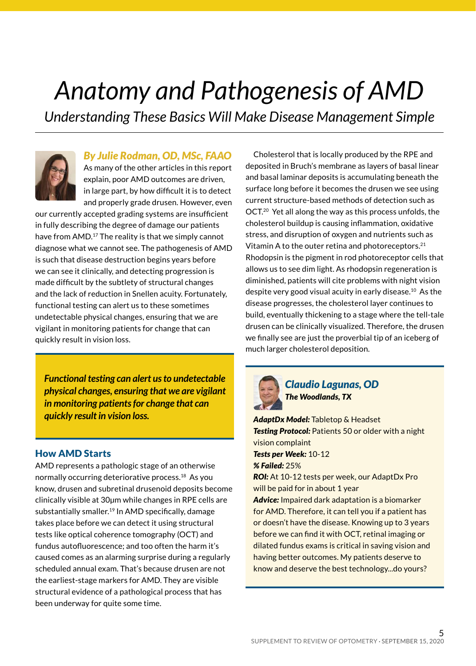### *Anatomy and Pathogenesis of AMD*

*Understanding These Basics Will Make Disease Management Simple* 



#### *By Julie Rodman, OD, MSc, FAAO*

As many of the other articles in this report explain, poor AMD outcomes are driven, in large part, by how difficult it is to detect and properly grade drusen. However, even

our currently accepted grading systems are insufficient in fully describing the degree of damage our patients have from AMD.<sup>17</sup> The reality is that we simply cannot diagnose what we cannot see. The pathogenesis of AMD is such that disease destruction begins years before we can see it clinically, and detecting progression is made difficult by the subtlety of structural changes and the lack of reduction in Snellen acuity. Fortunately, functional testing can alert us to these sometimes undetectable physical changes, ensuring that we are vigilant in monitoring patients for change that can quickly result in vision loss.

*Functional testing can alert us to undetectable physical changes, ensuring that we are vigilant in monitoring patients for change that can quickly result in vision loss.*

#### How AMD Starts

AMD represents a pathologic stage of an otherwise normally occurring deteriorative process.<sup>18</sup> As you know, drusen and subretinal drusenoid deposits become clinically visible at 30µm while changes in RPE cells are substantially smaller.<sup>19</sup> In AMD specifically, damage takes place before we can detect it using structural tests like optical coherence tomography (OCT) and fundus autofluorescence; and too often the harm it's caused comes as an alarming surprise during a regularly scheduled annual exam. That's because drusen are not the earliest-stage markers for AMD. They are visible structural evidence of a pathological process that has been underway for quite some time.

Cholesterol that is locally produced by the RPE and deposited in Bruch's membrane as layers of basal linear and basal laminar deposits is accumulating beneath the surface long before it becomes the drusen we see using current structure-based methods of detection such as OCT.20 Yet all along the way as this process unfolds, the cholesterol buildup is causing inflammation, oxidative stress, and disruption of oxygen and nutrients such as Vitamin A to the outer retina and photoreceptors.<sup>21</sup> Rhodopsin is the pigment in rod photoreceptor cells that allows us to see dim light. As rhodopsin regeneration is diminished, patients will cite problems with night vision despite very good visual acuity in early disease.10 As the disease progresses, the cholesterol layer continues to build, eventually thickening to a stage where the tell-tale drusen can be clinically visualized. Therefore, the drusen we finally see are just the proverbial tip of an iceberg of much larger cholesterol deposition.



#### *Claudio Lagunas, OD The Woodlands, TX*

*AdaptDx Model:* Tabletop & Headset *Testing Protocol:* Patients 50 or older with a night vision complaint *Tests per Week:* 10-12 *% Failed:* 25% **ROI:** At 10-12 tests per week, our AdaptDx Pro will be paid for in about 1 year *Advice:* Impaired dark adaptation is a biomarker for AMD. Therefore, it can tell you if a patient has or doesn't have the disease. Knowing up to 3 years before we can find it with OCT, retinal imaging or dilated fundus exams is critical in saving vision and having better outcomes. My patients deserve to know and deserve the best technology...do yours?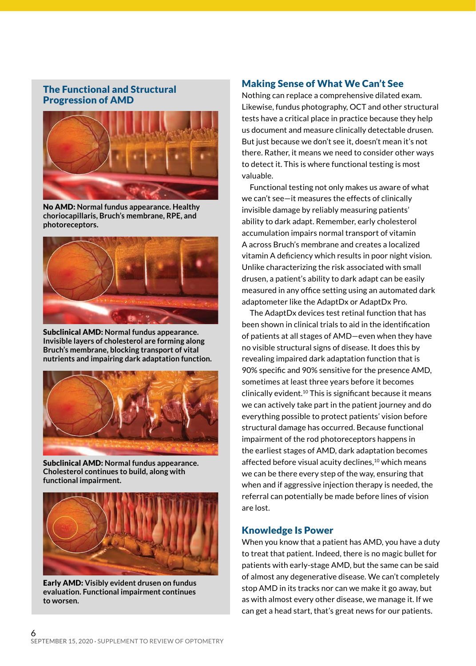#### The Functional and Structural Progression of AMD



No AMD: **Normal fundus appearance. Healthy choriocapillaris, Bruch's membrane, RPE, and photoreceptors.**



Subclinical AMD: **Normal fundus appearance. Invisible layers of cholesterol are forming along Bruch's membrane, blocking transport of vital nutrients and impairing dark adaptation function.**



Subclinical AMD: **Normal fundus appearance. Cholesterol continues to build, along with functional impairment.**



Early AMD: **Visibly evident drusen on fundus evaluation. Functional impairment continues to worsen.**

#### Making Sense of What We Can't See

Nothing can replace a comprehensive dilated exam. Likewise, fundus photography, OCT and other structural tests have a critical place in practice because they help us document and measure clinically detectable drusen. But just because we don't see it, doesn't mean it's not there. Rather, it means we need to consider other ways to detect it. This is where functional testing is most valuable.

Functional testing not only makes us aware of what we can't see—it measures the effects of clinically invisible damage by reliably measuring patients' ability to dark adapt. Remember, early cholesterol accumulation impairs normal transport of vitamin A across Bruch's membrane and creates a localized vitamin A deficiency which results in poor night vision. Unlike characterizing the risk associated with small drusen, a patient's ability to dark adapt can be easily measured in any office setting using an automated dark adaptometer like the AdaptDx or AdaptDx Pro.

The AdaptDx devices test retinal function that has been shown in clinical trials to aid in the identification of patients at all stages of AMD—even when they have no visible structural signs of disease. It does this by revealing impaired dark adaptation function that is 90% specific and 90% sensitive for the presence AMD, sometimes at least three years before it becomes clinically evident.10 This is significant because it means we can actively take part in the patient journey and do everything possible to protect patients' vision before structural damage has occurred. Because functional impairment of the rod photoreceptors happens in the earliest stages of AMD, dark adaptation becomes affected before visual acuity declines,<sup>10</sup> which means we can be there every step of the way, ensuring that when and if aggressive injection therapy is needed, the referral can potentially be made before lines of vision are lost.

#### Knowledge Is Power

When you know that a patient has AMD, you have a duty to treat that patient. Indeed, there is no magic bullet for patients with early-stage AMD, but the same can be said of almost any degenerative disease. We can't completely stop AMD in its tracks nor can we make it go away, but as with almost every other disease, we manage it. If we can get a head start, that's great news for our patients.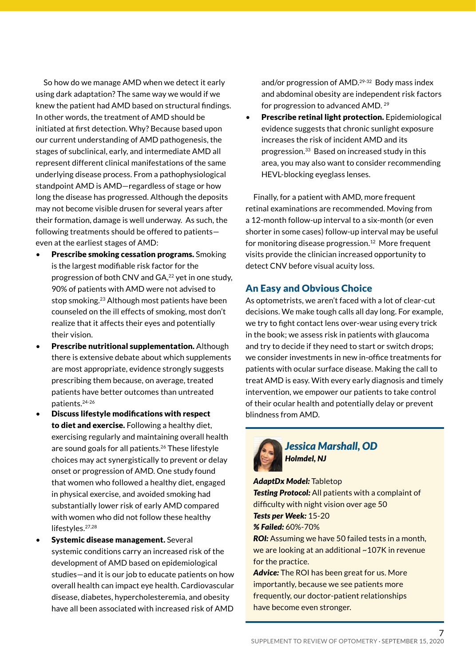So how do we manage AMD when we detect it early using dark adaptation? The same way we would if we knew the patient had AMD based on structural findings. In other words, the treatment of AMD should be initiated at first detection. Why? Because based upon our current understanding of AMD pathogenesis, the stages of subclinical, early, and intermediate AMD all represent different clinical manifestations of the same underlying disease process. From a pathophysiological standpoint AMD is AMD—regardless of stage or how long the disease has progressed. Although the deposits may not become visible drusen for several years after their formation, damage is well underway. As such, the following treatments should be offered to patients even at the earliest stages of AMD:

- Prescribe smoking cessation programs. Smoking is the largest modifiable risk factor for the progression of both CNV and GA,<sup>22</sup> yet in one study, 90% of patients with AMD were not advised to stop smoking.23 Although most patients have been counseled on the ill effects of smoking, most don't realize that it affects their eyes and potentially their vision.
- **Prescribe nutritional supplementation.** Although there is extensive debate about which supplements are most appropriate, evidence strongly suggests prescribing them because, on average, treated patients have better outcomes than untreated patients.24-26
- Discuss lifestyle modifications with respect to diet and exercise. Following a healthy diet, exercising regularly and maintaining overall health are sound goals for all patients.<sup>26</sup> These lifestyle choices may act synergistically to prevent or delay onset or progression of AMD. One study found that women who followed a healthy diet, engaged in physical exercise, and avoided smoking had substantially lower risk of early AMD compared with women who did not follow these healthy lifestyles.<sup>27,28</sup>
- Systemic disease management. Several systemic conditions carry an increased risk of the development of AMD based on epidemiological studies—and it is our job to educate patients on how overall health can impact eye health. Cardiovascular disease, diabetes, hypercholesteremia, and obesity have all been associated with increased risk of AMD

and/or progression of AMD.29-32 Body mass index and abdominal obesity are independent risk factors for progression to advanced AMD. <sup>29</sup>

**Prescribe retinal light protection.** Epidemiological evidence suggests that chronic sunlight exposure increases the risk of incident AMD and its progression.33 Based on increased study in this area, you may also want to consider recommending HEVL-blocking eyeglass lenses.

Finally, for a patient with AMD, more frequent retinal examinations are recommended. Moving from a 12-month follow-up interval to a six-month (or even shorter in some cases) follow-up interval may be useful for monitoring disease progression.<sup>12</sup> More frequent visits provide the clinician increased opportunity to detect CNV before visual acuity loss.

#### An Easy and Obvious Choice

As optometrists, we aren't faced with a lot of clear-cut decisions. We make tough calls all day long. For example, we try to fight contact lens over-wear using every trick in the book; we assess risk in patients with glaucoma and try to decide if they need to start or switch drops; we consider investments in new in-office treatments for patients with ocular surface disease. Making the call to treat AMD is easy. With every early diagnosis and timely intervention, we empower our patients to take control of their ocular health and potentially delay or prevent blindness from AMD.



*Jessica Marshall, OD Holmdel, NJ*

*AdaptDx Model:* Tabletop *Testing Protocol:* All patients with a complaint of difficulty with night vision over age 50 *Tests per Week:* 15-20 *% Failed:* 60%-70%

*ROI:* Assuming we have 50 failed tests in a month, we are looking at an additional ~107K in revenue for the practice.

*Advice:* The ROI has been great for us. More importantly, because we see patients more frequently, our doctor-patient relationships have become even stronger.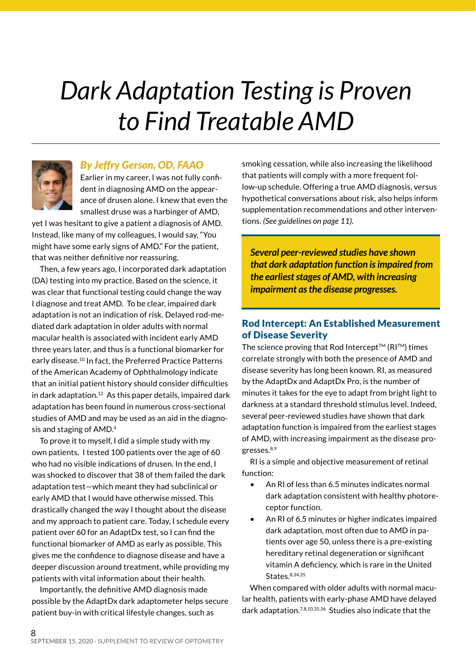### *Dark Adaptation Testing is Proven to Find Treatable AMD*



#### *By Jeffry Gerson, OD, FAAO*

Earlier in my career, I was not fully confident in diagnosing AMD on the appearance of drusen alone. I knew that even the smallest druse was a harbinger of AMD,

yet I was hesitant to give a patient a diagnosis of AMD. Instead, like many of my colleagues, I would say, "You might have some early signs of AMD." For the patient, that was neither definitive nor reassuring.

Then, a few years ago, I incorporated dark adaptation (DA) testing into my practice. Based on the science, it was clear that functional testing could change the way I diagnose and treat AMD. To be clear, impaired dark adaptation is not an indication of risk. Delayed rod-mediated dark adaptation in older adults with normal macular health is associated with incident early AMD three years later, and thus is a functional biomarker for early disease.<sup>10</sup> In fact, the Preferred Practice Patterns of the American Academy of Ophthalmology indicate that an initial patient history should consider difficulties in dark adaptation.12 As this paper details, impaired dark adaptation has been found in numerous cross-sectional studies of AMD and may be used as an aid in the diagnosis and staging of AMD.4

To prove it to myself, I did a simple study with my own patients. I tested 100 patients over the age of 60 who had no visible indications of drusen. In the end, I was shocked to discover that 38 of them failed the dark adaptation test—which meant they had subclinical or early AMD that I would have otherwise missed. This drastically changed the way I thought about the disease and my approach to patient care. Today, I schedule every patient over 60 for an AdaptDx test, so I can find the functional biomarker of AMD as early as possible. This gives me the confidence to diagnose disease and have a deeper discussion around treatment, while providing my patients with vital information about their health.

Importantly, the definitive AMD diagnosis made possible by the AdaptDx dark adaptometer helps secure patient buy-in with critical lifestyle changes, such as

smoking cessation, while also increasing the likelihood that patients will comply with a more frequent follow-up schedule. Offering a true AMD diagnosis, versus hypothetical conversations about risk, also helps inform supplementation recommendations and other interventions. *(See guidelines on page 11).*

*Several peer-reviewed studies have shown that dark adaptation function is impaired from the earliest stages of AMD, with increasing impairment as the disease progresses.*

#### Rod Intercept: An Established Measurement of Disease Severity

The science proving that Rod Intercept<sup>TM</sup> ( $RI^{TM}$ ) times correlate strongly with both the presence of AMD and disease severity has long been known. RI, as measured by the AdaptDx and AdaptDx Pro, is the number of minutes it takes for the eye to adapt from bright light to darkness at a standard threshold stimulus level. Indeed, several peer-reviewed studies have shown that dark adaptation function is impaired from the earliest stages of AMD, with increasing impairment as the disease progresses.<sup>8,9</sup>

RI is a simple and objective measurement of retinal function:

- An RI of less than 6.5 minutes indicates normal dark adaptation consistent with healthy photoreceptor function.
- An RI of 6.5 minutes or higher indicates impaired dark adaptation, most often due to AMD in patients over age 50, unless there is a pre-existing hereditary retinal degeneration or significant vitamin A deficiency, which is rare in the United States.8,34,35

When compared with older adults with normal macular health, patients with early-phase AMD have delayed dark adaptation.7,8,10,35,36 Studies also indicate that the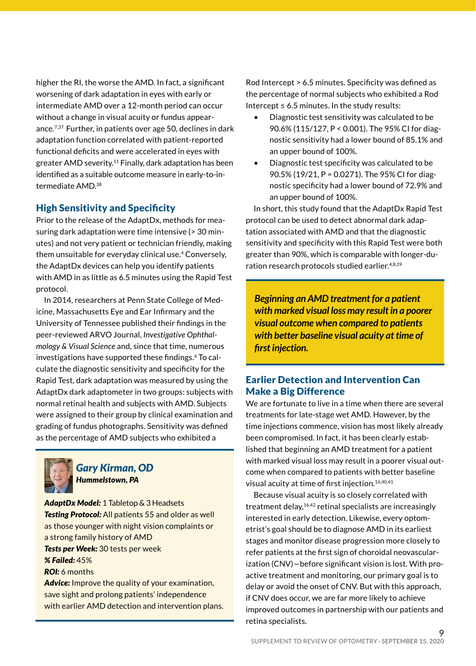higher the RI, the worse the AMD. In fact, a significant worsening of dark adaptation in eyes with early or intermediate AMD over a 12-month period can occur without a change in visual acuity or fundus appearance.7,37 Further, in patients over age 50, declines in dark adaptation function correlated with patient-reported functional deficits and were accelerated in eyes with greater AMD severity.11 Finally, dark adaptation has been identified as a suitable outcome measure in early-to-intermediate AMD.38

#### High Sensitivity and Specificity

Prior to the release of the AdaptDx, methods for measuring dark adaptation were time intensive (> 30 minutes) and not very patient or technician friendly, making them unsuitable for everyday clinical use.4 Conversely, the AdaptDx devices can help you identify patients with AMD in as little as 6.5 minutes using the Rapid Test protocol.

In 2014, researchers at Penn State College of Medicine, Massachusetts Eye and Ear Infirmary and the University of Tennessee published their findings in the peer-reviewed ARVO Journal, *Investigative Ophthalmology & Visual Science* and, since that time, numerous investigations have supported these findings.4 To calculate the diagnostic sensitivity and specificity for the Rapid Test, dark adaptation was measured by using the AdaptDx dark adaptometer in two groups: subjects with normal retinal health and subjects with AMD. Subjects were assigned to their group by clinical examination and grading of fundus photographs. Sensitivity was defined as the percentage of AMD subjects who exhibited a



#### *Gary Kirman, OD Hummelstown, PA*

*AdaptDx Model:* 1 Tabletop & 3 Headsets **Testing Protocol:** All patients 55 and older as well as those younger with night vision complaints or a strong family history of AMD *Tests per Week:* 30 tests per week *% Failed:* 45% *ROI:* 6 months *Advice:* Improve the quality of your examination,

save sight and prolong patients' independence with earlier AMD detection and intervention plans. Rod Intercept > 6.5 minutes. Specificity was defined as the percentage of normal subjects who exhibited a Rod Intercept  $\leq 6.5$  minutes. In the study results:

- Diagnostic test sensitivity was calculated to be 90.6% (115/127, P < 0.001). The 95% CI for diagnostic sensitivity had a lower bound of 85.1% and an upper bound of 100%.
- Diagnostic test specificity was calculated to be 90.5% (19/21, P = 0.0271). The 95% CI for diagnostic specificity had a lower bound of 72.9% and an upper bound of 100%.

In short, this study found that the AdaptDx Rapid Test protocol can be used to detect abnormal dark adaptation associated with AMD and that the diagnostic sensitivity and specificity with this Rapid Test were both greater than 90%, which is comparable with longer-duration research protocols studied earlier.<sup>4,8,39</sup>

*Beginning an AMD treatment for a patient with marked visual loss may result in a poorer visual outcome when compared to patients with better baseline visual acuity at time of first injection.*

#### Earlier Detection and Intervention Can Make a Big Difference

We are fortunate to live in a time when there are several treatments for late-stage wet AMD. However, by the time injections commence, vision has most likely already been compromised. In fact, it has been clearly established that beginning an AMD treatment for a patient with marked visual loss may result in a poorer visual outcome when compared to patients with better baseline visual acuity at time of first injection.<sup>16,40,41</sup>

Because visual acuity is so closely correlated with treatment delay,<sup>16,42</sup> retinal specialists are increasingly interested in early detection. Likewise, every optometrist's goal should be to diagnose AMD in its earliest stages and monitor disease progression more closely to refer patients at the first sign of choroidal neovascularization (CNV)—before significant vision is lost. With proactive treatment and monitoring, our primary goal is to delay or avoid the onset of CNV. But with this approach, if CNV does occur, we are far more likely to achieve improved outcomes in partnership with our patients and retina specialists.

 $\mathsf{o}$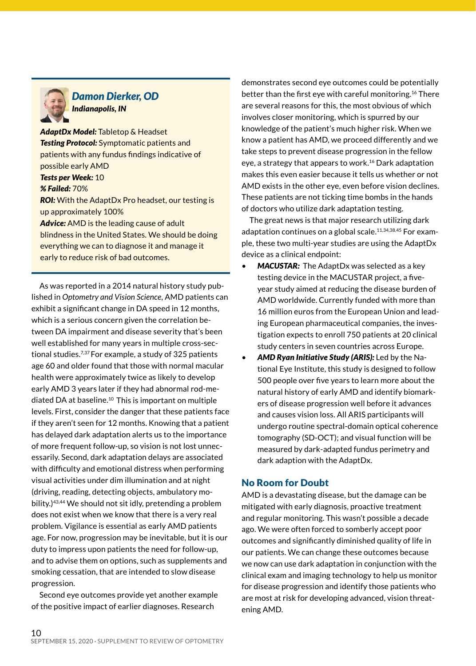

#### *Damon Dierker, OD Indianapolis, IN*

*AdaptDx Model:* Tabletop & Headset *Testing Protocol:* Symptomatic patients and patients with any fundus findings indicative of possible early AMD *Tests per Week:* 10 *% Failed:* 70% *ROI:* With the AdaptDx Pro headset, our testing is up approximately 100% *Advice:* AMD is the leading cause of adult blindness in the United States. We should be doing everything we can to diagnose it and manage it early to reduce risk of bad outcomes.

As was reported in a 2014 natural history study published in *Optometry and Vision Science*, AMD patients can exhibit a significant change in DA speed in 12 months, which is a serious concern given the correlation between DA impairment and disease severity that's been well established for many years in multiple cross-sectional studies.7,37 For example, a study of 325 patients age 60 and older found that those with normal macular health were approximately twice as likely to develop early AMD 3 years later if they had abnormal rod-mediated DA at baseline.<sup>10</sup> This is important on multiple levels. First, consider the danger that these patients face if they aren't seen for 12 months. Knowing that a patient has delayed dark adaptation alerts us to the importance of more frequent follow-up, so vision is not lost unnecessarily. Second, dark adaptation delays are associated with difficulty and emotional distress when performing visual activities under dim illumination and at night (driving, reading, detecting objects, ambulatory mobility.)43,44 We should not sit idly, pretending a problem does not exist when we know that there is a very real problem. Vigilance is essential as early AMD patients age. For now, progression may be inevitable, but it is our duty to impress upon patients the need for follow-up, and to advise them on options, such as supplements and smoking cessation, that are intended to slow disease progression.

Second eye outcomes provide yet another example of the positive impact of earlier diagnoses. Research

demonstrates second eye outcomes could be potentially better than the first eye with careful monitoring.16 There are several reasons for this, the most obvious of which involves closer monitoring, which is spurred by our knowledge of the patient's much higher risk. When we know a patient has AMD, we proceed differently and we take steps to prevent disease progression in the fellow eye, a strategy that appears to work.<sup>16</sup> Dark adaptation makes this even easier because it tells us whether or not AMD exists in the other eye, even before vision declines. These patients are not ticking time bombs in the hands of doctors who utilize dark adaptation testing.

The great news is that major research utilizing dark adaptation continues on a global scale.<sup>11,34,38,45</sup> For example, these two multi-year studies are using the AdaptDx device as a clinical endpoint:

- **MACUSTAR:** The AdaptDx was selected as a key testing device in the MACUSTAR project, a fiveyear study aimed at reducing the disease burden of AMD worldwide. Currently funded with more than 16 million euros from the European Union and leading European pharmaceutical companies, the investigation expects to enroll 750 patients at 20 clinical study centers in seven countries across Europe.
- *AMD Ryan Initiative Study (ARIS):* Led by the National Eye Institute, this study is designed to follow 500 people over five years to learn more about the natural history of early AMD and identify biomarkers of disease progression well before it advances and causes vision loss. All ARIS participants will undergo routine spectral-domain optical coherence tomography (SD-OCT); and visual function will be measured by dark-adapted fundus perimetry and dark adaption with the AdaptDx.

#### No Room for Doubt

AMD is a devastating disease, but the damage can be mitigated with early diagnosis, proactive treatment and regular monitoring. This wasn't possible a decade ago. We were often forced to somberly accept poor outcomes and significantly diminished quality of life in our patients. We can change these outcomes because we now can use dark adaptation in conjunction with the clinical exam and imaging technology to help us monitor for disease progression and identify those patients who are most at risk for developing advanced, vision threatening AMD.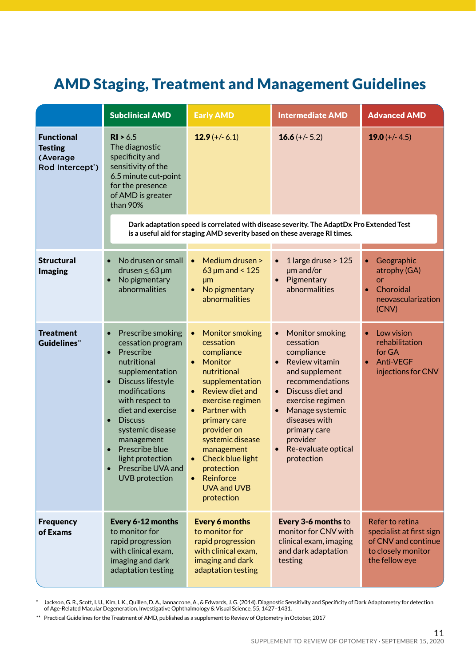### AMD Staging, Treatment and Management Guidelines

|                                                                                 | <b>Subclinical AMD</b>                                                                                                                                                                                                                                                                                                                                                                    | <b>Early AMD</b>                                                                                                                                                                                                                                                                                                                                                | <b>Intermediate AMD</b>                                                                                                                                                                                                                                             | <b>Advanced AMD</b>                                                                                        |
|---------------------------------------------------------------------------------|-------------------------------------------------------------------------------------------------------------------------------------------------------------------------------------------------------------------------------------------------------------------------------------------------------------------------------------------------------------------------------------------|-----------------------------------------------------------------------------------------------------------------------------------------------------------------------------------------------------------------------------------------------------------------------------------------------------------------------------------------------------------------|---------------------------------------------------------------------------------------------------------------------------------------------------------------------------------------------------------------------------------------------------------------------|------------------------------------------------------------------------------------------------------------|
| <b>Functional</b><br><b>Testing</b><br>(Average<br>Rod Intercept <sup>*</sup> ) | R1 > 6.5<br>The diagnostic<br>specificity and<br>sensitivity of the<br>6.5 minute cut-point<br>for the presence<br>of AMD is greater<br>than 90%                                                                                                                                                                                                                                          | $12.9 (+/- 6.1)$                                                                                                                                                                                                                                                                                                                                                | 16.6 $(+/- 5.2)$                                                                                                                                                                                                                                                    | 19.0 $(+/- 4.5)$                                                                                           |
|                                                                                 | Dark adaptation speed is correlated with disease severity. The AdaptDx Pro Extended Test<br>is a useful aid for staging AMD severity based on these average RI times.                                                                                                                                                                                                                     |                                                                                                                                                                                                                                                                                                                                                                 |                                                                                                                                                                                                                                                                     |                                                                                                            |
| <b>Structural</b><br><b>Imaging</b>                                             | No drusen or small<br>$\bullet$<br>drusen $\leq 63$ µm<br>No pigmentary<br>$\bullet$<br>abnormalities                                                                                                                                                                                                                                                                                     | Medium drusen ><br>$\bullet$<br>$63 \mu m$ and < 125<br><b>µm</b><br>No pigmentary<br>$\bullet$<br>abnormalities                                                                                                                                                                                                                                                | 1 large druse > 125<br>$\bullet$<br>$µm$ and/or<br>Pigmentary<br>abnormalities                                                                                                                                                                                      | Geographic<br>atrophy (GA)<br>or<br>Choroidal<br>$\bullet$<br>neovascularization<br>(CNV)                  |
| Treatment<br><b>Guidelines</b> "                                                | Prescribe smoking<br>$\bullet$<br>cessation program<br>Prescribe<br>$\bullet$<br>nutritional<br>supplementation<br>Discuss lifestyle<br>$\bullet$<br>modifications<br>with respect to<br>diet and exercise<br><b>Discuss</b><br>$\bullet$<br>systemic disease<br>management<br>Prescribe blue<br>$\bullet$<br>light protection<br>Prescribe UVA and<br>$\bullet$<br><b>UVB</b> protection | <b>Monitor smoking</b><br>$\bullet$<br>cessation<br>compliance<br>Monitor<br>$\bullet$<br>nutritional<br>supplementation<br>• Review diet and<br>exercise regimen<br>Partner with<br>$\bullet$<br>primary care<br>provider on<br>systemic disease<br>management<br>Check blue light<br>$\bullet$<br>protection<br>Reinforce<br><b>UVA and UVB</b><br>protection | • Monitor smoking<br>cessation<br>compliance<br>Review vitamin<br>$\bullet$<br>and supplement<br>recommendations<br>• Discuss diet and<br>exercise regimen<br>• Manage systemic<br>diseases with<br>primary care<br>provider<br>• Re-evaluate optical<br>protection | Low vision<br>rehabilitation<br>for GA<br><b>Anti-VEGF</b><br>$\bullet$<br>injections for CNV              |
| <b>Frequency</b><br>of Exams                                                    | Every 6-12 months<br>to monitor for<br>rapid progression<br>with clinical exam,<br>imaging and dark<br>adaptation testing                                                                                                                                                                                                                                                                 | <b>Every 6 months</b><br>to monitor for<br>rapid progression<br>with clinical exam,<br>imaging and dark<br>adaptation testing                                                                                                                                                                                                                                   | Every 3-6 months to<br>monitor for CNV with<br>clinical exam, imaging<br>and dark adaptation<br>testing                                                                                                                                                             | Refer to retina<br>specialist at first sign<br>of CNV and continue<br>to closely monitor<br>the fellow eye |

≉ Jackson, G. R., Scott, I. U., Kim, I. K., Quillen, D. A., Iannaccone, A., & Edwards, J. G. (2014). Diagnostic Sensitivity and Specificity of Dark Adaptometry for detection<br>of Age-Related Macular Degeneration. Investiga

\*\* Practical Guidelines for the Treatment of AMD, published as a supplement to Review of Optometry in October, 2017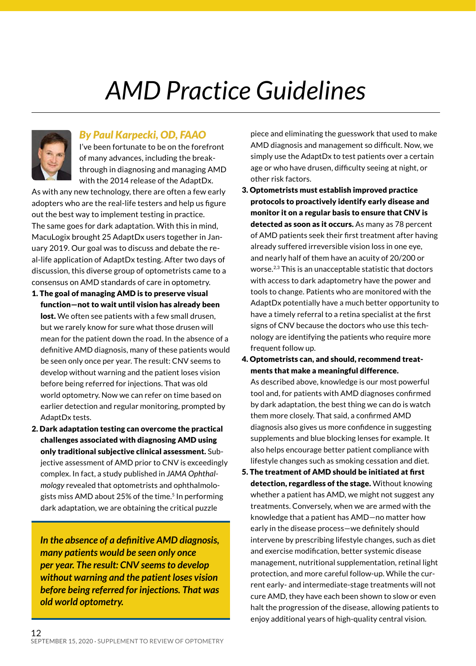### *AMD Practice Guidelines*



#### *By Paul Karpecki, OD, FAAO*

I've been fortunate to be on the forefront of many advances, including the breakthrough in diagnosing and managing AMD with the 2014 release of the AdaptDx.

As with any new technology, there are often a few early adopters who are the real-life testers and help us figure out the best way to implement testing in practice. The same goes for dark adaptation. With this in mind, MacuLogix brought 25 AdaptDx users together in January 2019. Our goal was to discuss and debate the real-life application of AdaptDx testing. After two days of discussion, this diverse group of optometrists came to a consensus on AMD standards of care in optometry.

- 1. The goal of managing AMD is to preserve visual function—not to wait until vision has already been lost. We often see patients with a few small drusen, but we rarely know for sure what those drusen will mean for the patient down the road. In the absence of a definitive AMD diagnosis, many of these patients would be seen only once per year. The result: CNV seems to develop without warning and the patient loses vision before being referred for injections. That was old world optometry. Now we can refer on time based on earlier detection and regular monitoring, prompted by AdaptDx tests.
- 2. Dark adaptation testing can overcome the practical challenges associated with diagnosing AMD using only traditional subjective clinical assessment. Subjective assessment of AMD prior to CNV is exceedingly complex. In fact, a study published in *JAMA Ophthalmology* revealed that optometrists and ophthalmologists miss AMD about 25% of the time.<sup>5</sup> In performing dark adaptation, we are obtaining the critical puzzle

*In the absence of a definitive AMD diagnosis, many patients would be seen only once per year. The result: CNV seems to develop without warning and the patient loses vision before being referred for injections. That was old world optometry.*

piece and eliminating the guesswork that used to make AMD diagnosis and management so difficult. Now, we simply use the AdaptDx to test patients over a certain age or who have drusen, difficulty seeing at night, or other risk factors.

- 3. Optometrists must establish improved practice protocols to proactively identify early disease and monitor it on a regular basis to ensure that CNV is detected as soon as it occurs. As many as 78 percent of AMD patients seek their first treatment after having already suffered irreversible vision loss in one eye, and nearly half of them have an acuity of 20/200 or worse.2,3 This is an unacceptable statistic that doctors with access to dark adaptometry have the power and tools to change. Patients who are monitored with the AdaptDx potentially have a much better opportunity to have a timely referral to a retina specialist at the first signs of CNV because the doctors who use this technology are identifying the patients who require more frequent follow up.
- 4. Optometrists can, and should, recommend treatments that make a meaningful difference. As described above, knowledge is our most powerful tool and, for patients with AMD diagnoses confirmed by dark adaptation, the best thing we can do is watch

them more closely. That said, a confirmed AMD diagnosis also gives us more confidence in suggesting supplements and blue blocking lenses for example. It also helps encourage better patient compliance with lifestyle changes such as smoking cessation and diet.

5. The treatment of AMD should be initiated at first detection, regardless of the stage. Without knowing whether a patient has AMD, we might not suggest any treatments. Conversely, when we are armed with the knowledge that a patient has AMD—no matter how early in the disease process—we definitely should intervene by prescribing lifestyle changes, such as diet and exercise modification, better systemic disease management, nutritional supplementation, retinal light protection, and more careful follow-up. While the current early- and intermediate-stage treatments will not cure AMD, they have each been shown to slow or even halt the progression of the disease, allowing patients to enjoy additional years of high-quality central vision.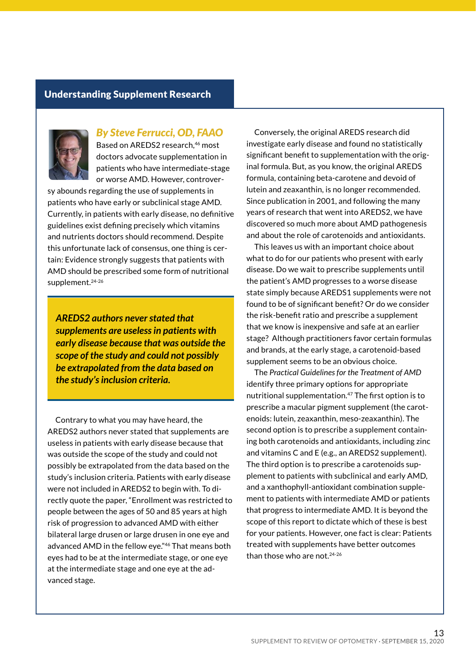#### Understanding Supplement Research



#### *By Steve Ferrucci, OD, FAAO*

Based on AREDS2 research,<sup>46</sup> most doctors advocate supplementation in patients who have intermediate-stage or worse AMD. However, controver-

sy abounds regarding the use of supplements in patients who have early or subclinical stage AMD. Currently, in patients with early disease, no definitive guidelines exist defining precisely which vitamins and nutrients doctors should recommend. Despite this unfortunate lack of consensus, one thing is certain: Evidence strongly suggests that patients with AMD should be prescribed some form of nutritional supplement.24-26

*AREDS2 authors never stated that supplements are useless in patients with early disease because that was outside the scope of the study and could not possibly be extrapolated from the data based on the study's inclusion criteria.*

Contrary to what you may have heard, the AREDS2 authors never stated that supplements are useless in patients with early disease because that was outside the scope of the study and could not possibly be extrapolated from the data based on the study's inclusion criteria. Patients with early disease were not included in AREDS2 to begin with. To directly quote the paper, "Enrollment was restricted to people between the ages of 50 and 85 years at high risk of progression to advanced AMD with either bilateral large drusen or large drusen in one eye and advanced AMD in the fellow eye."46 That means both eyes had to be at the intermediate stage, or one eye at the intermediate stage and one eye at the advanced stage.

Conversely, the original AREDS research did investigate early disease and found no statistically significant benefit to supplementation with the original formula. But, as you know, the original AREDS formula, containing beta-carotene and devoid of lutein and zeaxanthin, is no longer recommended. Since publication in 2001, and following the many years of research that went into AREDS2, we have discovered so much more about AMD pathogenesis and about the role of carotenoids and antioxidants.

This leaves us with an important choice about what to do for our patients who present with early disease. Do we wait to prescribe supplements until the patient's AMD progresses to a worse disease state simply because AREDS1 supplements were not found to be of significant benefit? Or do we consider the risk-benefit ratio and prescribe a supplement that we know is inexpensive and safe at an earlier stage? Although practitioners favor certain formulas and brands, at the early stage, a carotenoid-based supplement seems to be an obvious choice.

The *Practical Guidelines for the Treatment of AMD* identify three primary options for appropriate nutritional supplementation.47 The first option is to prescribe a macular pigment supplement (the carotenoids: lutein, zeaxanthin, meso-zeaxanthin). The second option is to prescribe a supplement containing both carotenoids and antioxidants, including zinc and vitamins C and E (e.g., an AREDS2 supplement). The third option is to prescribe a carotenoids supplement to patients with subclinical and early AMD, and a xanthophyll-antioxidant combination supplement to patients with intermediate AMD or patients that progress to intermediate AMD. It is beyond the scope of this report to dictate which of these is best for your patients. However, one fact is clear: Patients treated with supplements have better outcomes than those who are not.24-26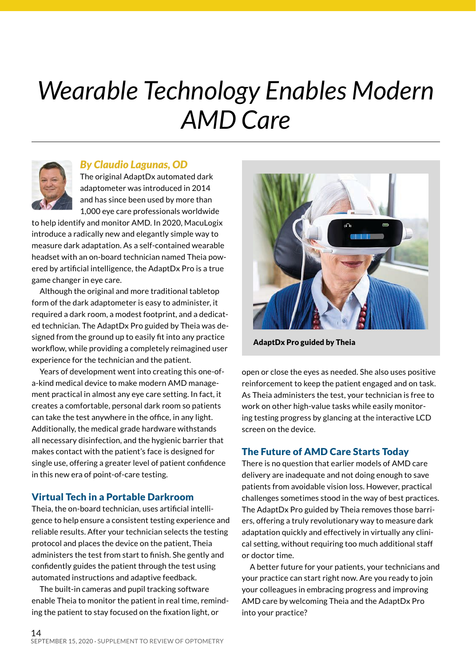### *Wearable Technology Enables Modern AMD Care*



#### *By Claudio Lagunas, OD*

The original AdaptDx automated dark adaptometer was introduced in 2014 and has since been used by more than 1,000 eye care professionals worldwide

to help identify and monitor AMD. In 2020, MacuLogix introduce a radically new and elegantly simple way to measure dark adaptation. As a self-contained wearable headset with an on-board technician named Theia powered by artificial intelligence, the AdaptDx Pro is a true game changer in eye care.

Although the original and more traditional tabletop form of the dark adaptometer is easy to administer, it required a dark room, a modest footprint, and a dedicated technician. The AdaptDx Pro guided by Theia was designed from the ground up to easily fit into any practice workflow, while providing a completely reimagined user experience for the technician and the patient.

Years of development went into creating this one-ofa-kind medical device to make modern AMD management practical in almost any eye care setting. In fact, it creates a comfortable, personal dark room so patients can take the test anywhere in the office, in any light. Additionally, the medical grade hardware withstands all necessary disinfection, and the hygienic barrier that makes contact with the patient's face is designed for single use, offering a greater level of patient confidence in this new era of point-of-care testing.

#### Virtual Tech in a Portable Darkroom

Theia, the on-board technician, uses artificial intelligence to help ensure a consistent testing experience and reliable results. After your technician selects the testing protocol and places the device on the patient, Theia administers the test from start to finish. She gently and confidently guides the patient through the test using automated instructions and adaptive feedback.

The built-in cameras and pupil tracking software enable Theia to monitor the patient in real time, reminding the patient to stay focused on the fixation light, or



AdaptDx Pro guided by Theia

open or close the eyes as needed. She also uses positive reinforcement to keep the patient engaged and on task. As Theia administers the test, your technician is free to work on other high-value tasks while easily monitoring testing progress by glancing at the interactive LCD screen on the device.

#### The Future of AMD Care Starts Today

There is no question that earlier models of AMD care delivery are inadequate and not doing enough to save patients from avoidable vision loss. However, practical challenges sometimes stood in the way of best practices. The AdaptDx Pro guided by Theia removes those barriers, offering a truly revolutionary way to measure dark adaptation quickly and effectively in virtually any clinical setting, without requiring too much additional staff or doctor time.

A better future for your patients, your technicians and your practice can start right now. Are you ready to join your colleagues in embracing progress and improving AMD care by welcoming Theia and the AdaptDx Pro into your practice?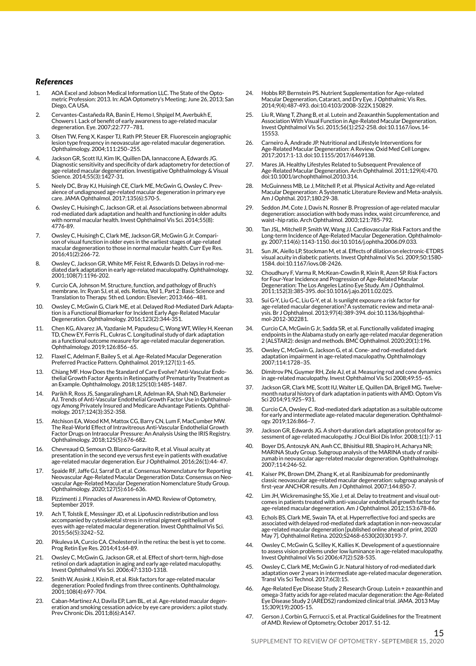#### *References*

- 1. AOA Excel and Jobson Medical Information LLC. The State of the Optometric Profession: 2013. In: AOA Optometry's Meeting; June 26, 2013; San Diego, CA USA.
- 2. Cervantes-Castañeda RA, Banin E, Hemo I, Shpigel M, Averbukh E, Chowers I. Lack of benefit of early awareness to age-related macular degeneration. Eye. 2007;22:777–781.
- 3. Olsen TW, Feng X, Kasper TJ, Rath PP, Steuer ER. Fluorescein angiographic lesion type frequency in neovascular age-related macular degeneration. Ophthalmology. 2004;111:250–255.
- 4. Jackson GR, Scott IU, Kim IK, Quillen DA, Iannaccone A, Edwards JG. Diagnostic sensitivity and specificity of dark adaptometry for detection of age-related macular degeneration. Investigative Ophthalmology & Visual Science. 2014;55(3):1427-31.
- 5. Neely DC, Bray KJ, Huisingh CE, Clark ME, McGwin G, Owsley C. Prevalence of undiagnosed age-related macular degeneration in primary eye care. JAMA Ophthalmol. 2017;135(6):570-5.
- 6. Owsley C, Huisingh C, Jackson GR, et al. Associations between abnormal rod-mediated dark adaptation and health and functioning in older adults with normal macular health. Invest Ophthalmol Vis Sci. 2014;55(8): 4776-89.
- 7. Owsley C, Huisingh C, Clark ME, Jackson GR, McGwin G Jr. Comparison of visual function in older eyes in the earliest stages of age-related macular degeneration to those in normal macular health. Curr Eye Res. 2016;41(2):266-72.
- 8. Owsley C, Jackson GR, White MF, Feist R, Edwards D. Delays in rod-mediated dark adaptation in early age-related maculopathy. Ophthalmology. 2001;108(7):1196-202.
- 9. Curcio CA, Johnson M. Structure, function, and pathology of Bruch's membrane. In: Ryan SJ, et al, eds. Retina, Vol 1, Part 2: Basic Science and Translation to Therapy. 5th ed. London: Elsevier; 2013:466–481.
- 10. Owsley C, McGwin G, Clark ME, et al. Delayed Rod-Mediated Dark Adapta-tion is a Functional Biomarker for Incident Early Age-Related Macular Degeneration. Ophthalmology. 2016;123(2):344-351.
- 11. Chen KG, Alvarez JA, Yazdanie M, Papudesu C, Wong WT, Wiley H, Keenan TD, Chew EY, Ferris FL, Cukras C. Longitudinal study of dark adaptation as a functional outcome measure for age-related macular degeneration. Ophthalmology. 2019;126:856–65.
- 12. Flaxel C, Adelman F, Bailey S, et al. Age-Related Macular Degeneration Preferred Practice Pattern. Ophthalmol. 2019;127(1):1-65.
- 13. Chiang MF. How Does the Standard of Care Evolve? Anti-Vascular Endothelial Growth Factor Agents in Retinopathy of Prematurity Treatment as an Example. Ophthalmology. 2018;125(10):1485-1487.
- 14. Parikh R, Ross JS, Sangaralingham LR, Adelman RA, Shah ND, Barkmeier AJ. Trends of Anti-Vascular Endothelial Growth Factor Use in Ophthalmology Among Privately Insured and Medicare Advantage Patients. Ophthalmology. 2017;124(3):352-358.
- Atchison EA, Wood KM, Mattox CG, Barry CN, Lum F, MacCumber MW. The Real-World Effect of Intravitreous Anti-Vascular Endothelial Growth Factor Drugs on Intraocular Pressure: An Analysis Using the IRIS Registry. Ophthalmology. 2018;125(5):676-682.
- 16. Chevreaud O, Semoun O, Blanco-Garavito R, et al. Visual acuity at presentation in the second eye versus first eye in patients with exudative age-related macular degeneration. Eur J Ophthalmol. 2016;26(1):44- 47.
- 17. Spaide RF, Jaffe GJ, Sarraf D, et al. Consensus Nomenclature for Reporting Neovascular Age-Related Macular Degeneration Data: Consensus on Neovascular Age-Related Macular Degeneration Nomenclature Study Group. Ophthalmology. 2020;127(5):616-636.
- 18. Pizzimenti J. Pinnacles of Awareness in AMD. Review of Optometry, Sentember 2019
- 19. Ach T, Tolstik E, Messinger JD, et al. Lipofuscin redistribution and loss accompanied by cytoskeletal stress in retinal pigment epithelium of eyes with age-related macular degeneration. Invest Ophthalmol Vis Sci. 2015;56(5):3242–52.
- 20. Pikuleva IA, Curcio CA. Cholesterol in the retina: the best is yet to come. Prog Retin Eye Res. 2014;41:64-89.
- 21. Owsley C, McGwin G, Jackson GR, et al. Effect of short-term, high-dose retinol on dark adaptation in aging and early age-related maculopathy. Invest Ophthalmol Vis Sci. 2006;47:1310-1318.
- Smith W, Assink J, Klein R, et al. Risk factors for age-related macular degeneration: Pooled findings from three continents. Ophthalmology. 2001;108(4):697-704.
- 23. Caban-Martinez AJ, Davila EP, Lam BL, et al. Age-related macular degeneration and smoking cessation advice by eye care providers: a pilot study. Prev Chronic Dis. 2011;8(6):A147.
- 24. Hobbs RP, Bernstein PS. Nutrient Supplementation for Age-related Macular Degeneration, Cataract, and Dry Eye. J Ophthalmic Vis Res. 2014;9(4):487-493. doi:10.4103/2008-322X.150829.
- 25. Liu R, Wang T, Zhang B, et al. Lutein and Zeaxanthin Supplementation and Association With Visual Function in Age-Related Macular Degeneration. Invest Ophthalmol Vis Sci. 2015;56(1):252-258. doi:10.1167/iovs.14- 15553.
- 26. Carneiro Â, Andrade JP. Nutritional and Lifestyle Interventions for Age-Related Macular Degeneration: A Review. Oxid Med Cell Longev. 2017;2017:1-13. doi:10.1155/2017/6469138.
- 27. Mares JA. Healthy Lifestyles Related to Subsequent Prevalence of Age-Related Macular Degeneration. Arch Ophthalmol. 2011;129(4):470. doi:10.1001/archophthalmol.2010.314.
- McGuinness MB, Le J, Mitchell P, et al. Physical Activity and Age-related Macular Degeneration: A Systematic Literature Review and Meta-analysis. Am J Ophthal. 2017;180:29-38.
- 29. Seddon JM, Cote J, Davis N, Rosner B. Progression of age-related macular degeneration: association with body mass index, waist circumference, and waist–hip ratio. Arch Ophthalmol. 2003;121:785-792.
- 30. Tan JSL, Mitchell P, Smith W, Wang JJ. Cardiovascular Risk Factors and the Long-term Incidence of Age-Related Macular Degeneration. Ophthalmolo-gy. 2007;114(6):1143-1150. doi:10.1016/j.ophtha.2006.09.033.
- 31. Sun JK, Aiello LP, Stockman M, et al. Effects of dilation on electronic-ETDRS visual acuity in diabetic patients. Invest Ophthalmol Vis Sci. 2009;50:1580- 1584. doi:10.1167/iovs.08-2426.
- 32. Choudhury F, Varma R, McKean-Cowdin R, Klein R, Azen SP. Risk Factors for Four-Year Incidence and Progression of Age-Related Macular Degeneration: The Los Angeles Latino Eye Study. Am J Ophthalmol. 2011;152(3):385-395. doi:10.1016/j.ajo.2011.02.025.
- 33. Sui G-Y, Liu G-C, Liu G-Y, et al. Is sunlight exposure a risk factor for age-related macular degeneration? A systematic review and meta-anal-ysis. Br J Ophthalmol. 2013;97(4):389-394. doi:10.1136/bjophthalmol-2012-302281.
- Curcio CA, McGwin G Jr, Sadda SR, et al. Functionally validated imaging endpoints in the Alabama study on early age-related macular degeneration 2 (ALSTAR2): design and methods. BMC Ophthalmol. 2020;20(1):196.
- 35. Owsley C, McGwin G, Jackson G, et al. Cone- and rod-mediated dark adaptation impairment in age-related maculopathy. Ophthalmology 2007;114:1728–35.
- 36. Dimitrov PN, Guymer RH, Zele AJ, et al. Measuring rod and cone dynamics in age-related maculopathy. Invest Ophthalmol Vis Sci 2008;49:55–65.
- 37. Jackson GR, Clark ME, Scott IU, Walter LE, Quillen DA, Brigell MG. Twelvemonth natural history of dark adaptation in patients with AMD. Optom Vis Sci 2014;91:925–931.
- 38. Curcio CA, Owsley C. Rod-mediated dark adaptation as a suitable outcome for early and intermediate age-related macular degeneration. Ophthalmology. 2019;126:866–7.
- 39. Jackson GR, Edwards JG. A short-duration dark adaptation protocol for assessment of age-related maculopathy. J Ocul Biol Dis Infor. 2008;1(1):7-11
- 40. Boyer DS, Antoszyk AN, Awh CC, Bhisitkul RB, Shapiro H, Acharya NR; MARINA Study Group. Subgroup analysis of the MARINA study of ranibizumab in neovascular age-related macular degeneration. Ophthalmology. 2007;114:246-52.
- 41. Kaiser PK, Brown DM, Zhang K, et al. Ranibizumab for predominantly classic neovascular age-related macular degeneration: subgroup analysis of first-year ANCHOR results. Am J Ophthalmol. 2007;144:850-7.
- 42. Lim JH, Wickremasinghe SS, Xie J, et al. Delay to treatment and visual outcomes in patients treated with anti-vascular endothelial growth factor for age-related macular degeneration. Am J Ophthalmol. 2012;153:678-86.
- 43. Echols BS, Clark ME, Swain TA, et al. Hyperreflective foci and specks are associated with delayed rod-mediated dark adaptation in non-neovascular age-related macular degeneration [published online ahead of print, 2020 May 7]. Ophthalmol Retina. 2020;S2468-6530(20)30193-7.
- 44. Owsley C, McGwin G, Scilley K, Kallies K. Development of a questionnaire to assess vision problems under low luminance in age-related maculopathy. Invest Ophthalmol Vis Sci 2006;47(2):528-535.
- 45. Owsley C, Clark ME, McGwin G Jr. Natural history of rod-mediated dark adaptation over 2 years in intermediate age-related macular degeneration. Transl Vis Sci Technol. 2017;6(3):15.
- 46. Age-Related Eye Disease Study 2 Research Group. Lutein + zeaxanthin and omega-3 fatty acids for age-related macular degeneration: the Age-Related Eye Disease Study 2 (AREDS2) randomized clinical trial. JAMA. 2013 May 15;309(19):2005-15.
- 47. Gerson J, Corbin G, Ferrucci S, et al. Practical Guidelines for the Treatment of AMD. Review of Optometry, October 2017. S1-12.

15